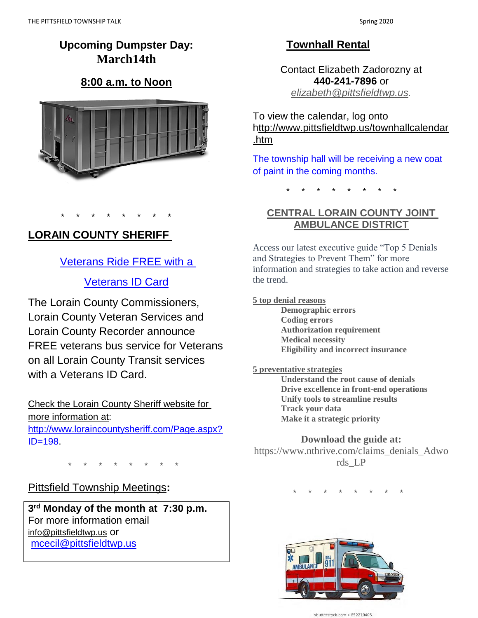# **Upcoming Dumpster Day: March14th**

# **8:00 a.m. to Noon**



# **LORAIN COUNTY SHERIFF**

\* \* \* \* \* \* \* \*

### [Veterans Ride FREE with a](http://www.loraincounty.us/announcements/?action=show&id=103)

## [Veterans ID Card](http://www.loraincounty.us/announcements/?action=show&id=103)

The Lorain County Commissioners, Lorain County Veteran Services and Lorain County Recorder announce FREE veterans bus service for Veterans on all Lorain County Transit services with a Veterans ID Card.

### Check the Lorain County Sheriff website for

more information at:

[http://www.loraincountysheriff.com/Page.aspx?](http://www.loraincountysheriff.com/Page.aspx?ID=198) [ID=198.](http://www.loraincountysheriff.com/Page.aspx?ID=198)

\* \* \* \* \* \* \* \*

### Pittsfield Township Meetings**:**

**3 rd Monday of the month at 7:30 p.m.** For more information email [info@pittsfieldtwp.us](mailto:info@pittsfieldtwp.u) or mcecil@pittsfieldtwp.us

### **Townhall Rental**

Contact Elizabeth Zadorozny at **440-241-7896** or *[elizabeth@pittsfieldtwp.us.](mailto:elizabeth@pittsfieldtwp.us)*

To view the calendar, log onto [http://www.pittsfieldtwp.us/townhallcalendar](http://www.pittsfieldtwp.us/townhallcalendar.htm) [.htm](http://www.pittsfieldtwp.us/townhallcalendar.htm)

The township hall will be receiving a new coat of paint in the coming months.

\* \* \* \* \* \* \* \*

### **CENTRAL LORAIN COUNTY JOINT AMBULANCE DISTRICT**

Access our latest executive guide "Top 5 Denials and Strategies to Prevent Them" for more information and strategies to take action and reverse the trend.

**5 top denial reasons**

**Demographic errors Coding errors Authorization requirement Medical necessity Eligibility and incorrect insurance**

#### **5 preventative strategies**

**Understand the root cause of denials Drive excellence in front-end operations Unify tools to streamline results Track your data Make it a strategic priority**

### **Download the guide at:**

https://www.nthrive.com/claims\_denials\_Adwo rds\_LP

\* \* \* \* \* \* \* \*



shutterstock.com · 652210405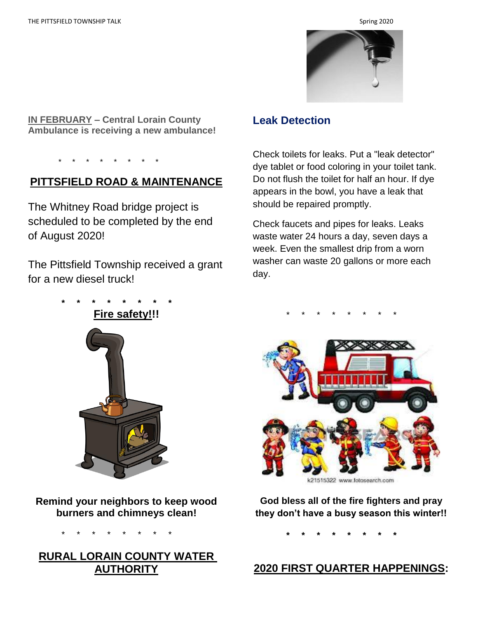

**IN FEBRUARY – Central Lorain County Ambulance is receiving a new ambulance!**

\* \* \* \* \* \* \* \*

### **PITTSFIELD ROAD & MAINTENANCE**

The Whitney Road bridge project is scheduled to be completed by the end of August 2020!

The Pittsfield Township received a grant for a new diesel truck!

 **\* \* \* \* \* \* \* \***



Check toilets for leaks. Put a "leak detector" dye tablet or food coloring in your toilet tank. Do not flush the toilet for half an hour. If dye appears in the bowl, you have a leak that should be repaired promptly.

Check faucets and pipes for leaks. Leaks waste water 24 hours a day, seven days a week. Even the smallest drip from a worn washer can waste 20 gallons or more each day.





**Remind your neighbors to keep wood burners and chimneys clean!** 

\* \* \* \* \* \* \* \*

**RURAL LORAIN COUNTY WATER AUTHORITY**



**God bless all of the fire fighters and pray they don't have a busy season this winter!!**

 **\* \* \* \* \* \* \* \***

### **2020 FIRST QUARTER HAPPENINGS:**